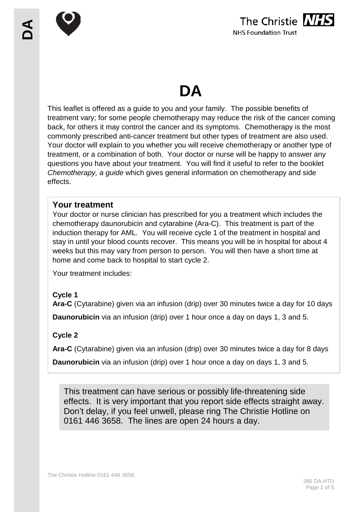

# **DA**

This leaflet is offered as a guide to you and your family. The possible benefits of treatment vary; for some people chemotherapy may reduce the risk of the cancer coming back, for others it may control the cancer and its symptoms. Chemotherapy is the most commonly prescribed anti-cancer treatment but other types of treatment are also used. Your doctor will explain to you whether you will receive chemotherapy or another type of treatment, or a combination of both. Your doctor or nurse will be happy to answer any questions you have about your treatment. You will find it useful to refer to the booklet *Chemotherapy, a guide* which gives general information on chemotherapy and side effects.

## **Your treatment**

Your doctor or nurse clinician has prescribed for you a treatment which includes the chemotherapy daunorubicin and cytarabine (Ara-C). This treatment is part of the induction therapy for AML. You will receive cycle 1 of the treatment in hospital and stay in until your blood counts recover. This means you will be in hospital for about 4 weeks but this may vary from person to person. You will then have a short time at home and come back to hospital to start cycle 2.

Your treatment includes:

## **Cycle 1**

**Ara-C** (Cytarabine) given via an infusion (drip) over 30 minutes twice a day for 10 days

**Daunorubicin** via an infusion (drip) over 1 hour once a day on days 1, 3 and 5.

## **Cycle 2**

**Ara-C** (Cytarabine) given via an infusion (drip) over 30 minutes twice a day for 8 days

**Daunorubicin** via an infusion (drip) over 1 hour once a day on days 1, 3 and 5.

This treatment can have serious or possibly life-threatening side effects. It is very important that you report side effects straight away. Don't delay, if you feel unwell, please ring The Christie Hotline on 0161 446 3658. The lines are open 24 hours a day.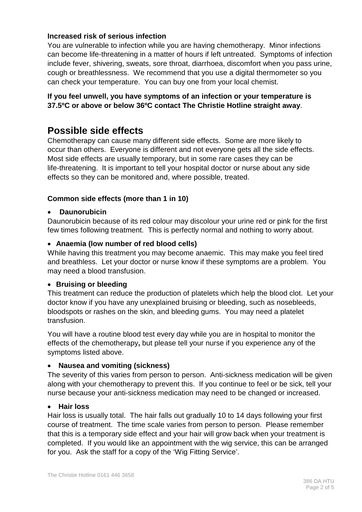#### **Increased risk of serious infection**

You are vulnerable to infection while you are having chemotherapy. Minor infections can become life-threatening in a matter of hours if left untreated. Symptoms of infection include fever, shivering, sweats, sore throat, diarrhoea, discomfort when you pass urine, cough or breathlessness. We recommend that you use a digital thermometer so you can check your temperature. You can buy one from your local chemist.

#### **If you feel unwell, you have symptoms of an infection or your temperature is 37.5ºC or above or below 36ºC contact The Christie Hotline straight away**.

# **Possible side effects**

Chemotherapy can cause many different side effects. Some are more likely to occur than others. Everyone is different and not everyone gets all the side effects. Most side effects are usually temporary, but in some rare cases they can be life-threatening. It is important to tell your hospital doctor or nurse about any side effects so they can be monitored and, where possible, treated.

#### **Common side effects (more than 1 in 10)**

#### • **Daunorubicin**

Daunorubicin because of its red colour may discolour your urine red or pink for the first few times following treatment. This is perfectly normal and nothing to worry about.

#### • **Anaemia (low number of red blood cells)**

While having this treatment you may become anaemic. This may make you feel tired and breathless. Let your doctor or nurse know if these symptoms are a problem. You may need a blood transfusion.

#### • **Bruising or bleeding**

This treatment can reduce the production of platelets which help the blood clot. Let your doctor know if you have any unexplained bruising or bleeding, such as nosebleeds, bloodspots or rashes on the skin, and bleeding gums. You may need a platelet transfusion.

You will have a routine blood test every day while you are in hospital to monitor the effects of the chemotherapy**,** but please tell your nurse if you experience any of the symptoms listed above.

#### • **Nausea and vomiting (sickness)**

The severity of this varies from person to person. Anti-sickness medication will be given along with your chemotherapy to prevent this. If you continue to feel or be sick, tell your nurse because your anti-sickness medication may need to be changed or increased.

#### • **Hair loss**

Hair loss is usually total. The hair falls out gradually 10 to 14 days following your first course of treatment. The time scale varies from person to person. Please remember that this is a temporary side effect and your hair will grow back when your treatment is completed. If you would like an appointment with the wig service, this can be arranged for you. Ask the staff for a copy of the 'Wig Fitting Service'.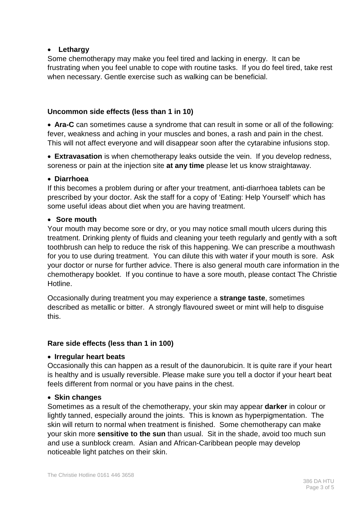#### • **Lethargy**

Some chemotherapy may make you feel tired and lacking in energy. It can be frustrating when you feel unable to cope with routine tasks. If you do feel tired, take rest when necessary. Gentle exercise such as walking can be beneficial.

#### **Uncommon side effects (less than 1 in 10)**

• **Ara-C** can sometimes cause a syndrome that can result in some or all of the following: fever, weakness and aching in your muscles and bones, a rash and pain in the chest. This will not affect everyone and will disappear soon after the cytarabine infusions stop.

• **Extravasation** is when chemotherapy leaks outside the vein. If you develop redness, soreness or pain at the injection site **at any time** please let us know straightaway.

#### • **Diarrhoea**

If this becomes a problem during or after your treatment, anti-diarrhoea tablets can be prescribed by your doctor. Ask the staff for a copy of 'Eating: Help Yourself' which has some useful ideas about diet when you are having treatment.

#### • **Sore mouth**

Your mouth may become sore or dry, or you may notice small mouth ulcers during this treatment. Drinking plenty of fluids and cleaning your teeth regularly and gently with a soft toothbrush can help to reduce the risk of this happening. We can prescribe a mouthwash for you to use during treatment. You can dilute this with water if your mouth is sore. Ask your doctor or nurse for further advice. There is also general mouth care information in the chemotherapy booklet. If you continue to have a sore mouth, please contact The Christie Hotline.

Occasionally during treatment you may experience a **strange taste**, sometimes described as metallic or bitter. A strongly flavoured sweet or mint will help to disguise this.

#### **Rare side effects (less than 1 in 100)**

#### • **Irregular heart beats**

Occasionally this can happen as a result of the daunorubicin. It is quite rare if your heart is healthy and is usually reversible. Please make sure you tell a doctor if your heart beat feels different from normal or you have pains in the chest.

#### • **Skin changes**

Sometimes as a result of the chemotherapy, your skin may appear **darker** in colour or lightly tanned, especially around the joints. This is known as hyperpigmentation. The skin will return to normal when treatment is finished. Some chemotherapy can make your skin more **sensitive to the sun** than usual. Sit in the shade, avoid too much sun and use a sunblock cream. Asian and African-Caribbean people may develop noticeable light patches on their skin.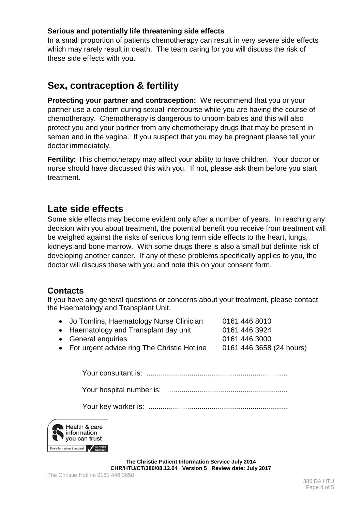#### **Serious and potentially life threatening side effects**

In a small proportion of patients chemotherapy can result in very severe side effects which may rarely result in death. The team caring for you will discuss the risk of these side effects with you.

# **Sex, contraception & fertility**

**Protecting your partner and contraception:** We recommend that you or your partner use a condom during sexual intercourse while you are having the course of chemotherapy. Chemotherapy is dangerous to unborn babies and this will also protect you and your partner from any chemotherapy drugs that may be present in semen and in the vagina. If you suspect that you may be pregnant please tell your doctor immediately.

**Fertility:** This chemotherapy may affect your ability to have children. Your doctor or nurse should have discussed this with you. If not, please ask them before you start treatment.

# **Late side effects**

Some side effects may become evident only after a number of years. In reaching any decision with you about treatment, the potential benefit you receive from treatment will be weighed against the risks of serious long term side effects to the heart, lungs, kidneys and bone marrow. With some drugs there is also a small but definite risk of developing another cancer. If any of these problems specifically applies to you, the doctor will discuss these with you and note this on your consent form.

## **Contacts**

If you have any general questions or concerns about your treatment, please contact the Haematology and Transplant Unit.

- Jo Tomlins, Haematology Nurse Clinician 0161 446 8010
	-
- General enquiries 0161 446 3000
- Haematology and Transplant day unit 0161 446 3924
- 
- 
- For urgent advice ring The Christie Hotline 0161 446 3658 (24 hours)

Your consultant is: .....................................................................

Your hospital number is: ...........................................................

Your key worker is: ....................................................................



**The Christie Patient Information Service July 2014 CHR/HTU/CT/386/08.12.04 Version 5 Review date: July 2017**